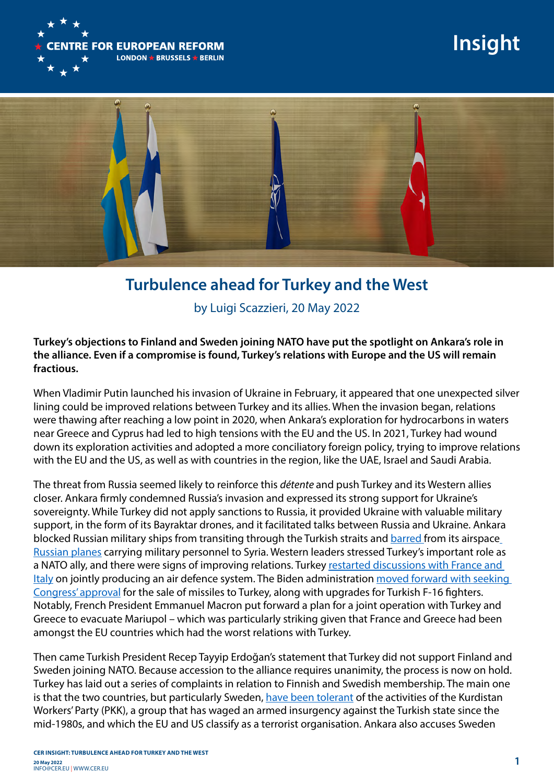

## **Insight**



## **Turbulence ahead for Turkey and the West**

by Luigi Scazzieri, 20 May 2022

## **Turkey's objections to Finland and Sweden joining NATO have put the spotlight on Ankara's role in the alliance. Even if a compromise is found, Turkey's relations with Europe and the US will remain fractious.**

When Vladimir Putin launched his invasion of Ukraine in February, it appeared that one unexpected silver lining could be improved relations between Turkey and its allies. When the invasion began, relations were thawing after reaching a low point in 2020, when Ankara's exploration for hydrocarbons in waters near Greece and Cyprus had led to high tensions with the EU and the US. In 2021, Turkey had wound down its exploration activities and adopted a more conciliatory foreign policy, trying to improve relations with the EU and the US, as well as with countries in the region, like the UAE, Israel and Saudi Arabia.

The threat from Russia seemed likely to reinforce this *détente* and push Turkey and its Western allies closer. Ankara firmly condemned Russia's invasion and expressed its strong support for Ukraine's sovereignty. While Turkey did not apply sanctions to Russia, it provided Ukraine with valuable military support, in the form of its Bayraktar drones, and it facilitated talks between Russia and Ukraine. Ankara blocked Russian military ships from transiting through the Turkish straits and **barred** from its airspace [Russian planes](https://www.ft.com/content/559a6d83-feae-4d3f-9b31-28c36d308edd) carrying military personnel to Syria. Western leaders stressed Turkey's important role as a NATO ally, and there were signs of improving relations. Turkey [restarted discussions with France and](https://www.defensenews.com/industry/techwatch/2022/04/01/turkey-and-italy-hint-at-return-to-sampt-air-defense-efforts/)  [Italy](https://www.defensenews.com/industry/techwatch/2022/04/01/turkey-and-italy-hint-at-return-to-sampt-air-defense-efforts/) on jointly producing an air defence system. The Biden administration [moved forward with seeking](https://www.reuters.com/world/middle-east/biden-administration-seeks-congress-approval-small-weapons-deal-turkey-sources-2022-05-11/)  [Congress' approval](https://www.reuters.com/world/middle-east/biden-administration-seeks-congress-approval-small-weapons-deal-turkey-sources-2022-05-11/) for the sale of missiles to Turkey, along with upgrades for Turkish F-16 fighters. Notably, French President Emmanuel Macron put forward a plan for a joint operation with Turkey and Greece to evacuate Mariupol – which was particularly striking given that France and Greece had been amongst the EU countries which had the worst relations with Turkey.

Then came Turkish President Recep Tayyip Erdoğan's statement that Turkey did not support Finland and Sweden joining NATO. Because accession to the alliance requires unanimity, the process is now on hold. Turkey has laid out a series of complaints in relation to Finnish and Swedish membership. The main one is that the two countries, but particularly Sweden, [have been tolerant](https://www.reuters.com/world/exclusive-turkey-not-closing-door-sweden-finland-nato-entry-erdogan-advisor-says-2022-05-14/) of the activities of the Kurdistan Workers' Party (PKK), a group that has waged an armed insurgency against the Turkish state since the mid-1980s, and which the EU and US classify as a terrorist organisation. Ankara also accuses Sweden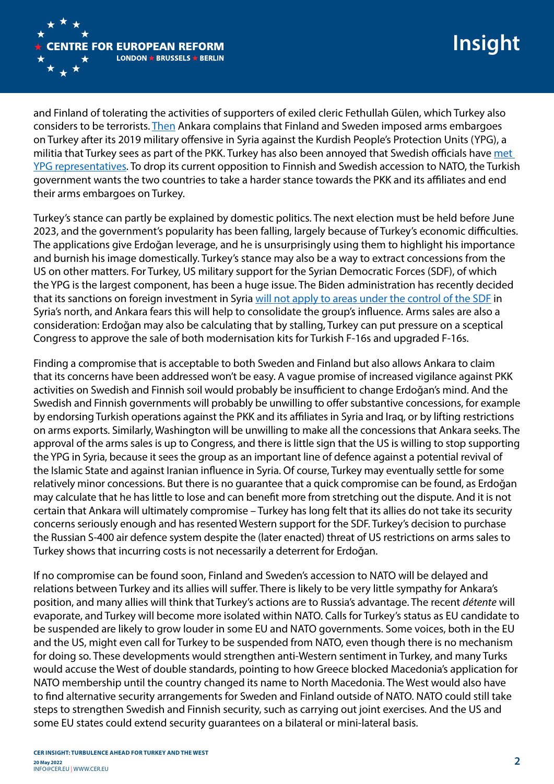

and Finland of tolerating the activities of supporters of exiled cleric Fethullah Gülen, which Turkey also considers to be terrorists. Then Ankara complains that Finland and Sweden imposed arms embargoes on Turkey after its 2019 military offensive in Syria against the Kurdish People's Protection Units (YPG), a militia that Turkey sees as part of the PKK. Turkey has also been annoyed that Swedish officials have [met](https://www.middleeasteye.net/news/sweden-finland-nato-membership-turkey-not-support-over-pkk)  [YPG representatives.](https://www.middleeasteye.net/news/sweden-finland-nato-membership-turkey-not-support-over-pkk) To drop its current opposition to Finnish and Swedish accession to NATO, the Turkish government wants the two countries to take a harder stance towards the PKK and its affiliates and end their arms embargoes on Turkey.

Turkey's stance can partly be explained by domestic politics. The next election must be held before June 2023, and the government's popularity has been falling, largely because of Turkey's economic difficulties. The applications give Erdoğan leverage, and he is unsurprisingly using them to highlight his importance and burnish his image domestically. Turkey's stance may also be a way to extract concessions from the US on other matters. For Turkey, US military support for the Syrian Democratic Forces (SDF), of which the YPG is the largest component, has been a huge issue. The Biden administration has recently decided that its sanctions on foreign investment in Syria [will not apply to areas under the control of the SDF](https://www.reuters.com/article/mideast-crisis-usa-syria-idUSL2N2X31U9) in Syria's north, and Ankara fears this will help to consolidate the group's influence. Arms sales are also a consideration: Erdoğan may also be calculating that by stalling, Turkey can put pressure on a sceptical Congress to approve the sale of both modernisation kits for Turkish F-16s and upgraded F-16s.

Finding a compromise that is acceptable to both Sweden and Finland but also allows Ankara to claim that its concerns have been addressed won't be easy. A vague promise of increased vigilance against PKK activities on Swedish and Finnish soil would probably be insufficient to change Erdoğan's mind. And the Swedish and Finnish governments will probably be unwilling to offer substantive concessions, for example by endorsing Turkish operations against the PKK and its affiliates in Syria and Iraq, or by lifting restrictions on arms exports. Similarly, Washington will be unwilling to make all the concessions that Ankara seeks. The approval of the arms sales is up to Congress, and there is little sign that the US is willing to stop supporting the YPG in Syria, because it sees the group as an important line of defence against a potential revival of the Islamic State and against Iranian influence in Syria. Of course, Turkey may eventually settle for some relatively minor concessions. But there is no guarantee that a quick compromise can be found, as Erdoğan may calculate that he has little to lose and can benefit more from stretching out the dispute. And it is not certain that Ankara will ultimately compromise – Turkey has long felt that its allies do not take its security concerns seriously enough and has resented Western support for the SDF. Turkey's decision to purchase the Russian S-400 air defence system despite the (later enacted) threat of US restrictions on arms sales to Turkey shows that incurring costs is not necessarily a deterrent for Erdoğan.

If no compromise can be found soon, Finland and Sweden's accession to NATO will be delayed and relations between Turkey and its allies will suffer. There is likely to be very little sympathy for Ankara's position, and many allies will think that Turkey's actions are to Russia's advantage. The recent *détente* will evaporate, and Turkey will become more isolated within NATO. Calls for Turkey's status as EU candidate to be suspended are likely to grow louder in some EU and NATO governments. Some voices, both in the EU and the US, might even call for Turkey to be suspended from NATO, even though there is no mechanism for doing so. These developments would strengthen anti-Western sentiment in Turkey, and many Turks would accuse the West of double standards, pointing to how Greece blocked Macedonia's application for NATO membership until the country changed its name to North Macedonia. The West would also have to find alternative security arrangements for Sweden and Finland outside of NATO. NATO could still take steps to strengthen Swedish and Finnish security, such as carrying out joint exercises. And the US and some EU states could extend security guarantees on a bilateral or mini-lateral basis.